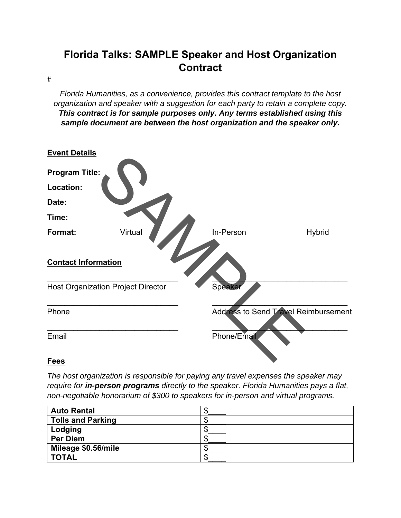## **Florida Talks: SAMPLE Speaker and Host Organization Contract**

 $\#$ 

*Florida Humanities, as a convenience, provides this contract template to the host organization and speaker with a suggestion for each party to retain a complete copy. This contract is for sample purposes only. Any terms established using this sample document are between the host organization and the speaker only.* 



## *The host organization is responsible for paying any travel expenses the speaker may require for in-person programs directly to the speaker. Florida Humanities pays a flat, non-negotiable honorarium of \$300 to speakers for in-person and virtual programs.*

| <b>Auto Rental</b>       |  |
|--------------------------|--|
| <b>Tolls and Parking</b> |  |
| Lodging                  |  |
| <b>Per Diem</b>          |  |
| Mileage \$0.56/mile      |  |
| <b>TOTAL</b>             |  |